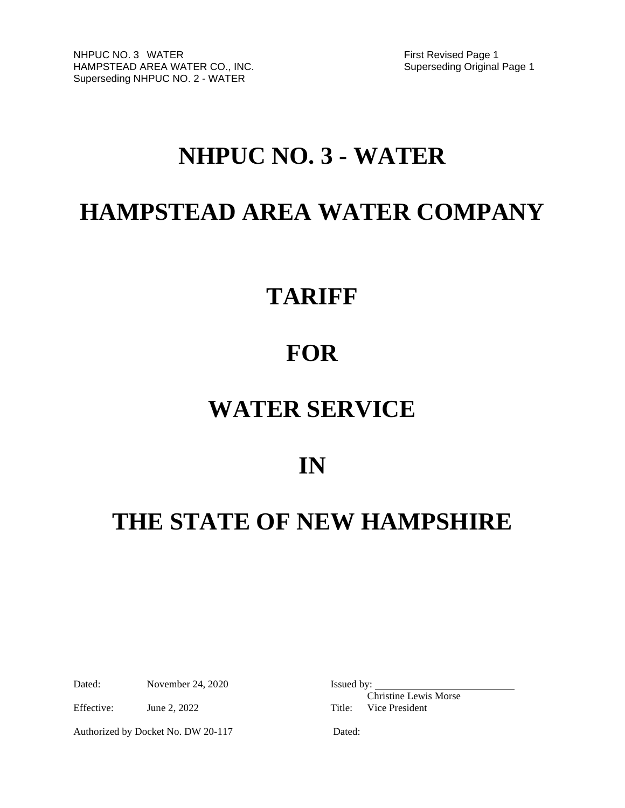# **NHPUC NO. 3 - WATER**

# **HAMPSTEAD AREA WATER COMPANY**

# **TARIFF**

# **FOR**

# **WATER SERVICE**

# **IN**

# **THE STATE OF NEW HAMPSHIRE**

Dated: November 24, 2020 Issued by:

Effective: June 2, 2022 Title: Vice President

Authorized by Docket No. DW 20-117 Dated:

Christine Lewis Morse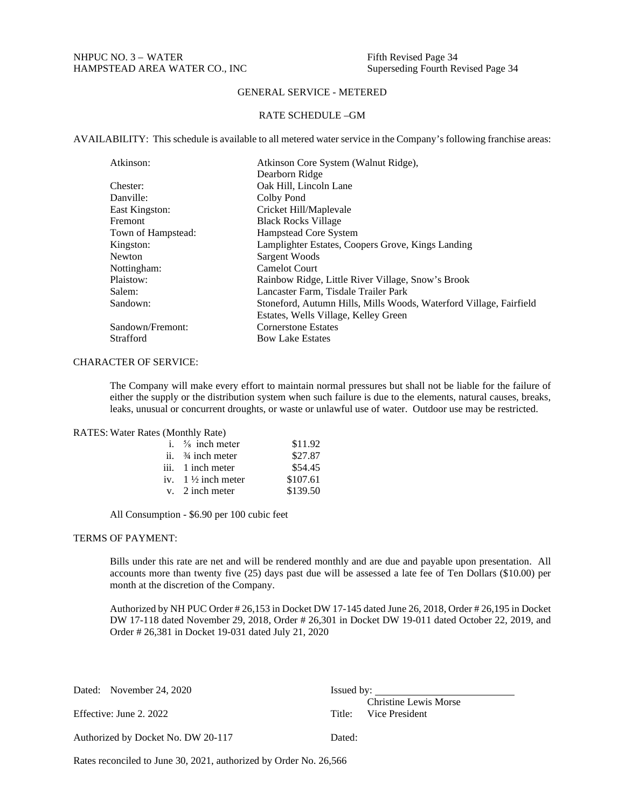# GENERAL SERVICE - METERED

#### RATE SCHEDULE –GM

AVAILABILITY: This schedule is available to all metered water service in the Company's following franchise areas:

| Atkinson:          | Atkinson Core System (Walnut Ridge),                               |
|--------------------|--------------------------------------------------------------------|
|                    | Dearborn Ridge                                                     |
| Chester:           | Oak Hill, Lincoln Lane                                             |
| Danville:          | Colby Pond                                                         |
| East Kingston:     | Cricket Hill/Maplevale                                             |
| <b>Fremont</b>     | <b>Black Rocks Village</b>                                         |
| Town of Hampstead: | Hampstead Core System                                              |
| Kingston:          | Lamplighter Estates, Coopers Grove, Kings Landing                  |
| Newton             | Sargent Woods                                                      |
| Nottingham:        | <b>Camelot Court</b>                                               |
| Plaistow:          | Rainbow Ridge, Little River Village, Snow's Brook                  |
| Salem:             | Lancaster Farm, Tisdale Trailer Park                               |
| Sandown:           | Stoneford, Autumn Hills, Mills Woods, Waterford Village, Fairfield |
|                    | Estates, Wells Village, Kelley Green                               |
| Sandown/Fremont:   | <b>Cornerstone Estates</b>                                         |
| Strafford          | <b>Bow Lake Estates</b>                                            |

# CHARACTER OF SERVICE:

The Company will make every effort to maintain normal pressures but shall not be liable for the failure of either the supply or the distribution system when such failure is due to the elements, natural causes, breaks, leaks, unusual or concurrent droughts, or waste or unlawful use of water. Outdoor use may be restricted.

#### RATES: Water Rates (Monthly Rate)

| i. $\frac{5}{8}$ inch meter   | \$11.92  |
|-------------------------------|----------|
| ii. $\frac{3}{4}$ inch meter  | \$27.87  |
| iii. 1 inch meter             | \$54.45  |
| iv. $1\frac{1}{2}$ inch meter | \$107.61 |
| $v.$ 2 inch meter             | \$139.50 |

All Consumption - \$6.90 per 100 cubic feet

# TERMS OF PAYMENT:

Bills under this rate are net and will be rendered monthly and are due and payable upon presentation. All accounts more than twenty five (25) days past due will be assessed a late fee of Ten Dollars (\$10.00) per month at the discretion of the Company.

Authorized by NH PUC Order # 26,153 in Docket DW 17-145 dated June 26, 2018, Order # 26,195 in Docket DW 17-118 dated November 29, 2018, Order # 26,301 in Docket DW 19-011 dated October 22, 2019, and Order # 26,381 in Docket 19-031 dated July 21, 2020

| Dated: November 24, 2020           | Issued by:                   |
|------------------------------------|------------------------------|
|                                    | <b>Christine Lewis Morse</b> |
| Effective: June 2, 2022            | Title: Vice President        |
| Authorized by Docket No. DW 20-117 | Dated:                       |

Rates reconciled to June 30, 2021, authorized by Order No. 26,566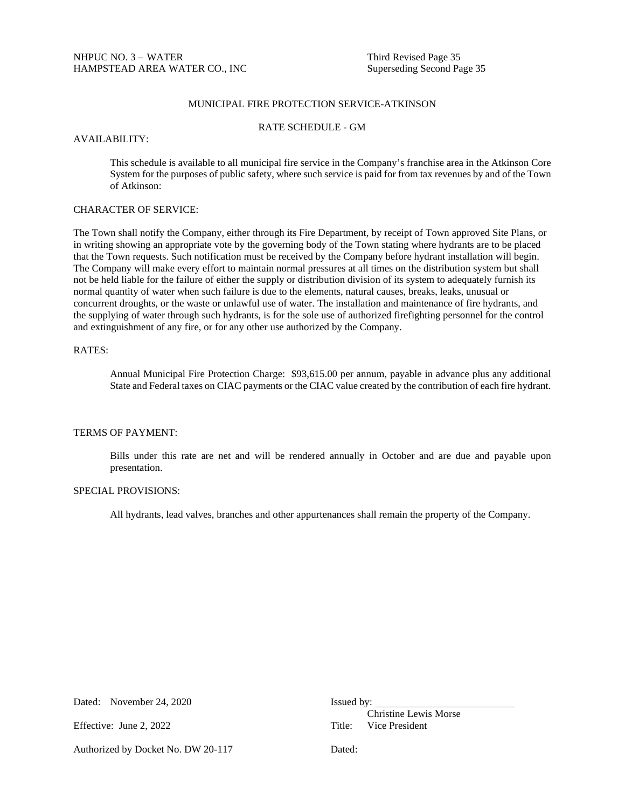# MUNICIPAL FIRE PROTECTION SERVICE-ATKINSON

#### RATE SCHEDULE - GM

#### AVAILABILITY:

This schedule is available to all municipal fire service in the Company's franchise area in the Atkinson Core System for the purposes of public safety, where such service is paid for from tax revenues by and of the Town of Atkinson:

### CHARACTER OF SERVICE:

The Town shall notify the Company, either through its Fire Department, by receipt of Town approved Site Plans, or in writing showing an appropriate vote by the governing body of the Town stating where hydrants are to be placed that the Town requests. Such notification must be received by the Company before hydrant installation will begin. The Company will make every effort to maintain normal pressures at all times on the distribution system but shall not be held liable for the failure of either the supply or distribution division of its system to adequately furnish its normal quantity of water when such failure is due to the elements, natural causes, breaks, leaks, unusual or concurrent droughts, or the waste or unlawful use of water. The installation and maintenance of fire hydrants, and the supplying of water through such hydrants, is for the sole use of authorized firefighting personnel for the control and extinguishment of any fire, or for any other use authorized by the Company.

#### RATES:

Annual Municipal Fire Protection Charge: \$93,615.00 per annum, payable in advance plus any additional State and Federal taxes on CIAC payments or the CIAC value created by the contribution of each fire hydrant.

## TERMS OF PAYMENT:

Bills under this rate are net and will be rendered annually in October and are due and payable upon presentation.

### SPECIAL PROVISIONS:

All hydrants, lead valves, branches and other appurtenances shall remain the property of the Company.

| Dated: | November 24, 2020 |  |  |
|--------|-------------------|--|--|
|        |                   |  |  |

Authorized by Docket No. DW 20-117 Dated:

Issued by:

Christine Lewis Morse Effective: June 2, 2022 Title: Vice President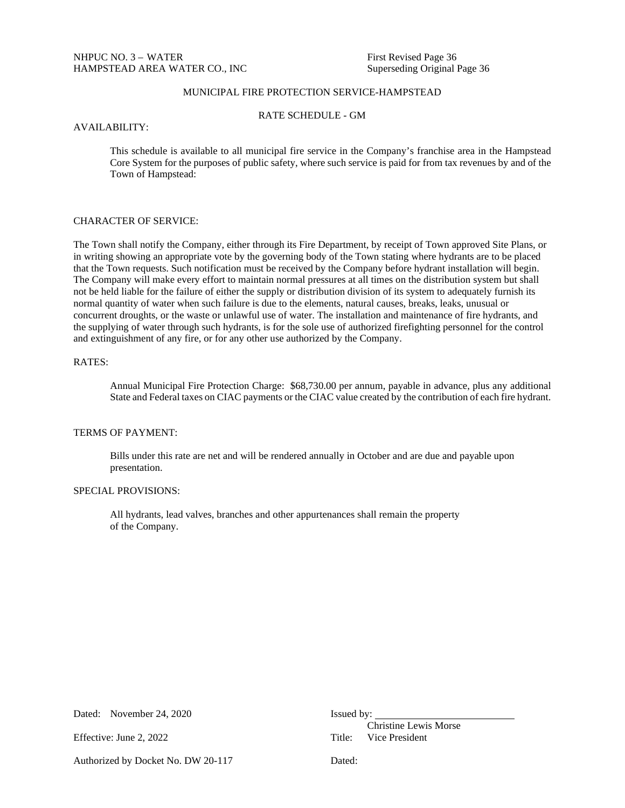# MUNICIPAL FIRE PROTECTION SERVICE-HAMPSTEAD

RATE SCHEDULE - GM

#### AVAILABILITY:

This schedule is available to all municipal fire service in the Company's franchise area in the Hampstead Core System for the purposes of public safety, where such service is paid for from tax revenues by and of the Town of Hampstead:

## CHARACTER OF SERVICE:

The Town shall notify the Company, either through its Fire Department, by receipt of Town approved Site Plans, or in writing showing an appropriate vote by the governing body of the Town stating where hydrants are to be placed that the Town requests. Such notification must be received by the Company before hydrant installation will begin. The Company will make every effort to maintain normal pressures at all times on the distribution system but shall not be held liable for the failure of either the supply or distribution division of its system to adequately furnish its normal quantity of water when such failure is due to the elements, natural causes, breaks, leaks, unusual or concurrent droughts, or the waste or unlawful use of water. The installation and maintenance of fire hydrants, and the supplying of water through such hydrants, is for the sole use of authorized firefighting personnel for the control and extinguishment of any fire, or for any other use authorized by the Company.

#### RATES:

Annual Municipal Fire Protection Charge: \$68,730.00 per annum, payable in advance, plus any additional State and Federal taxes on CIAC payments or the CIAC value created by the contribution of each fire hydrant.

# TERMS OF PAYMENT:

Bills under this rate are net and will be rendered annually in October and are due and payable upon presentation.

# SPECIAL PROVISIONS:

All hydrants, lead valves, branches and other appurtenances shall remain the property of the Company.

| Dated: | November 24, 2020 |  |
|--------|-------------------|--|
|        |                   |  |

Effective: June 2, 2022 Title: Vice President

Issued by:

Christine Lewis Morse

Authorized by Docket No. DW 20-117 Dated: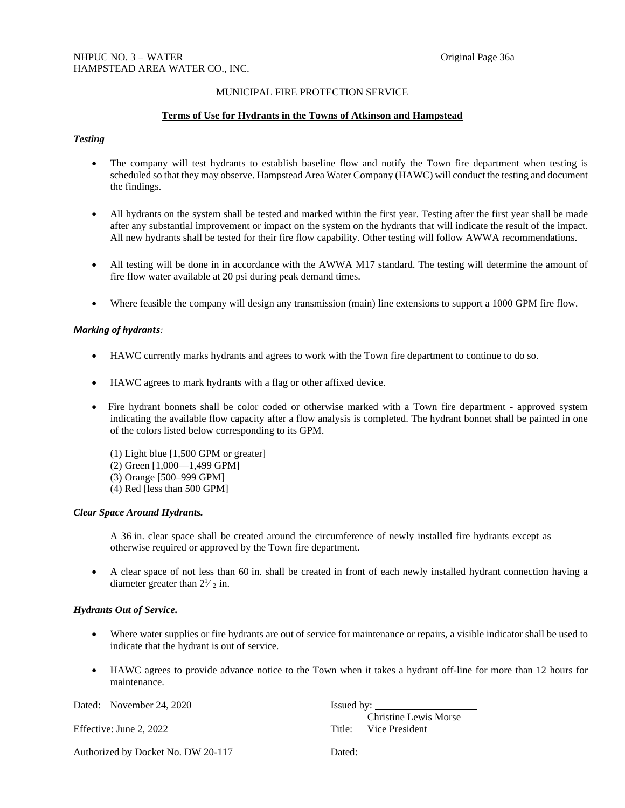# MUNICIPAL FIRE PROTECTION SERVICE

## **Terms of Use for Hydrants in the Towns of Atkinson and Hampstead**

## *Testing*

- The company will test hydrants to establish baseline flow and notify the Town fire department when testing is scheduled so that they may observe. Hampstead Area Water Company (HAWC) will conduct the testing and document the findings.
- All hydrants on the system shall be tested and marked within the first year. Testing after the first year shall be made after any substantial improvement or impact on the system on the hydrants that will indicate the result of the impact. All new hydrants shall be tested for their fire flow capability. Other testing will follow AWWA recommendations.
- All testing will be done in in accordance with the AWWA M17 standard. The testing will determine the amount of fire flow water available at 20 psi during peak demand times.
- Where feasible the company will design any transmission (main) line extensions to support a 1000 GPM fire flow.

## *Marking of hydrants:*

- HAWC currently marks hydrants and agrees to work with the Town fire department to continue to do so.
- HAWC agrees to mark hydrants with a flag or other affixed device.
- Fire hydrant bonnets shall be color coded or otherwise marked with a Town fire department approved system indicating the available flow capacity after a flow analysis is completed. The hydrant bonnet shall be painted in one of the colors listed below corresponding to its GPM.

 (1) Light blue [1,500 GPM or greater] (2) Green [1,000—1,499 GPM] (3) Orange [500–999 GPM] (4) Red [less than 500 GPM]

## *Clear Space Around Hydrants.*

A 36 in. clear space shall be created around the circumference of newly installed fire hydrants except as otherwise required or approved by the Town fire department.

• A clear space of not less than 60 in. shall be created in front of each newly installed hydrant connection having a diameter greater than  $2\frac{1}{2}$  in.

## *Hydrants Out of Service.*

- Where water supplies or fire hydrants are out of service for maintenance or repairs, a visible indicator shall be used to indicate that the hydrant is out of service*.*
- HAWC agrees to provide advance notice to the Town when it takes a hydrant off-line for more than 12 hours for maintenance.

| Dated: November 24, 2020           | Issued by:                                            |
|------------------------------------|-------------------------------------------------------|
| Effective: June 2, 2022            | <b>Christine Lewis Morse</b><br>Title: Vice President |
| Authorized by Docket No. DW 20-117 | Dated:                                                |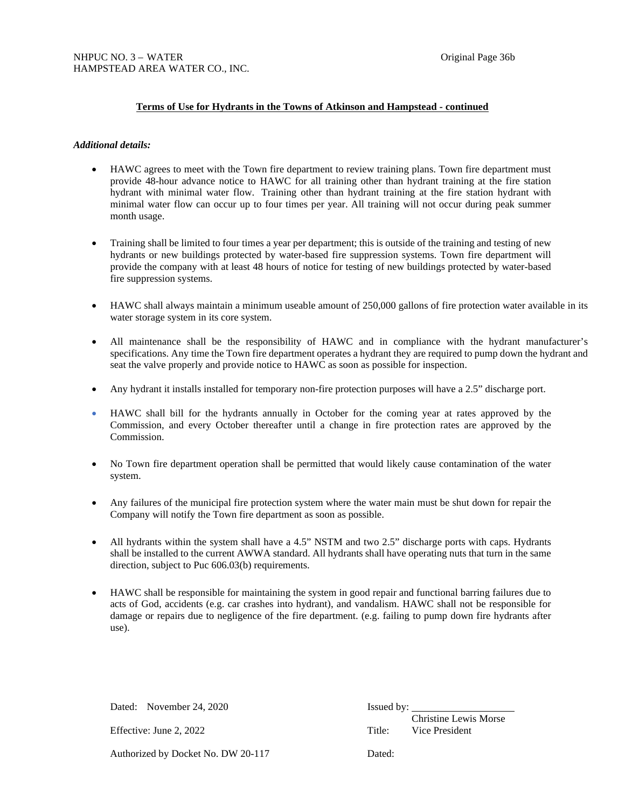# **Terms of Use for Hydrants in the Towns of Atkinson and Hampstead - continued**

### *Additional details:*

- HAWC agrees to meet with the Town fire department to review training plans. Town fire department must provide 48-hour advance notice to HAWC for all training other than hydrant training at the fire station hydrant with minimal water flow. Training other than hydrant training at the fire station hydrant with minimal water flow can occur up to four times per year. All training will not occur during peak summer month usage.
- Training shall be limited to four times a year per department; this is outside of the training and testing of new hydrants or new buildings protected by water-based fire suppression systems. Town fire department will provide the company with at least 48 hours of notice for testing of new buildings protected by water-based fire suppression systems.
- HAWC shall always maintain a minimum useable amount of 250,000 gallons of fire protection water available in its water storage system in its core system.
- All maintenance shall be the responsibility of HAWC and in compliance with the hydrant manufacturer's specifications. Any time the Town fire department operates a hydrant they are required to pump down the hydrant and seat the valve properly and provide notice to HAWC as soon as possible for inspection.
- Any hydrant it installs installed for temporary non-fire protection purposes will have a 2.5" discharge port.
- HAWC shall bill for the hydrants annually in October for the coming year at rates approved by the Commission, and every October thereafter until a change in fire protection rates are approved by the Commission.
- No Town fire department operation shall be permitted that would likely cause contamination of the water system.
- Any failures of the municipal fire protection system where the water main must be shut down for repair the Company will notify the Town fire department as soon as possible.
- All hydrants within the system shall have a 4.5" NSTM and two 2.5" discharge ports with caps. Hydrants shall be installed to the current AWWA standard. All hydrants shall have operating nuts that turn in the same direction, subject to Puc 606.03(b) requirements.
- HAWC shall be responsible for maintaining the system in good repair and functional barring failures due to acts of God, accidents (e.g. car crashes into hydrant), and vandalism. HAWC shall not be responsible for damage or repairs due to negligence of the fire department. (e.g. failing to pump down fire hydrants after use).

| Dated: November 24, 2020           | Issued by: |                                         |
|------------------------------------|------------|-----------------------------------------|
| Effective: June 2, 2022            | Title:     | Christine Lewis Morse<br>Vice President |
| Authorized by Docket No. DW 20-117 | Dated:     |                                         |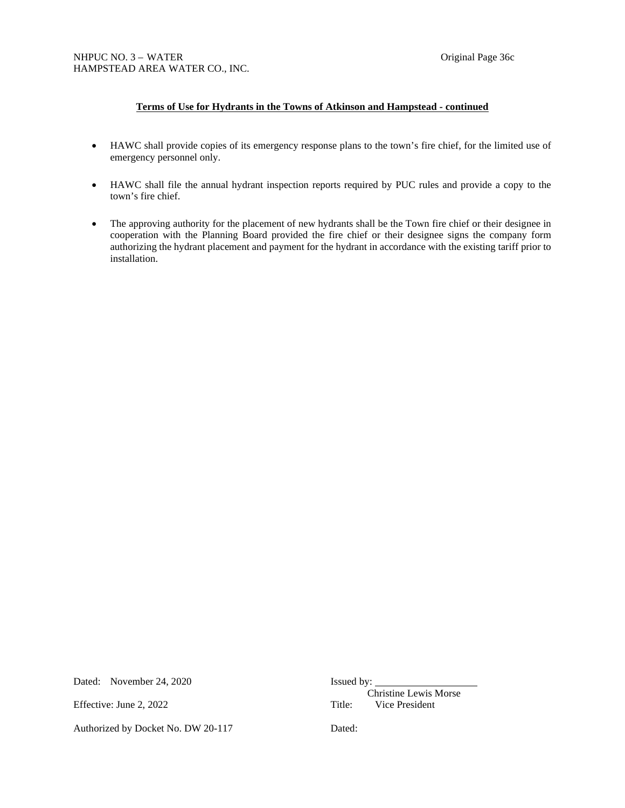# **Terms of Use for Hydrants in the Towns of Atkinson and Hampstead - continued**

- HAWC shall provide copies of its emergency response plans to the town's fire chief, for the limited use of emergency personnel only.
- HAWC shall file the annual hydrant inspection reports required by PUC rules and provide a copy to the town's fire chief.
- The approving authority for the placement of new hydrants shall be the Town fire chief or their designee in cooperation with the Planning Board provided the fire chief or their designee signs the company form authorizing the hydrant placement and payment for the hydrant in accordance with the existing tariff prior to installation.

Dated: November 24, 2020 Issued by:

Authorized by Docket No. DW 20-117 Dated:

Christine Lewis Morse Effective: June 2, 2022 Title: Vice President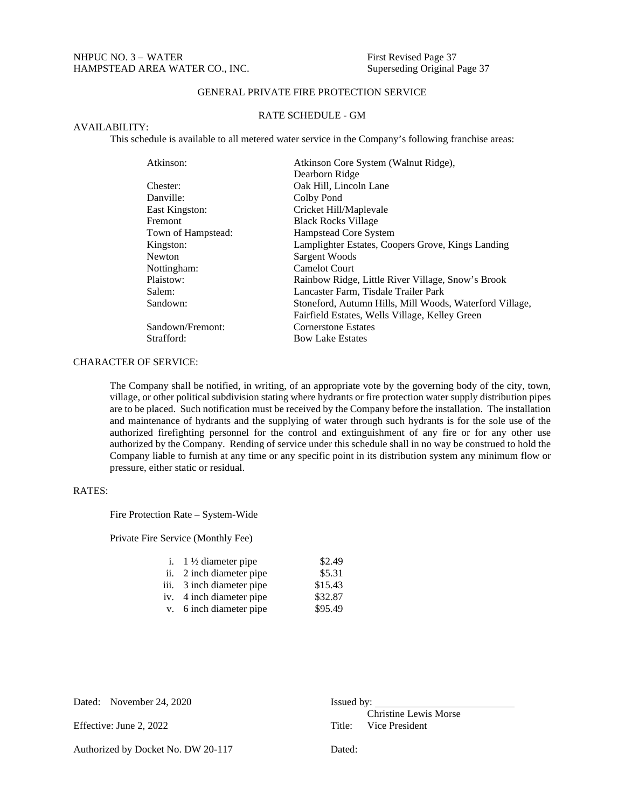# GENERAL PRIVATE FIRE PROTECTION SERVICE

# RATE SCHEDULE - GM

#### AVAILABILITY:

This schedule is available to all metered water service in the Company's following franchise areas:

| Atkinson Core System (Walnut Ridge),                    |
|---------------------------------------------------------|
| Dearborn Ridge                                          |
| Oak Hill, Lincoln Lane                                  |
| Colby Pond                                              |
| Cricket Hill/Maplevale                                  |
| <b>Black Rocks Village</b>                              |
| Hampstead Core System                                   |
| Lamplighter Estates, Coopers Grove, Kings Landing       |
| Sargent Woods                                           |
| <b>Camelot Court</b>                                    |
| Rainbow Ridge, Little River Village, Snow's Brook       |
| Lancaster Farm, Tisdale Trailer Park                    |
| Stoneford, Autumn Hills, Mill Woods, Waterford Village, |
| Fairfield Estates, Wells Village, Kelley Green          |
| <b>Cornerstone Estates</b>                              |
| <b>Bow Lake Estates</b>                                 |
|                                                         |

# CHARACTER OF SERVICE:

The Company shall be notified, in writing, of an appropriate vote by the governing body of the city, town, village, or other political subdivision stating where hydrants or fire protection water supply distribution pipes are to be placed. Such notification must be received by the Company before the installation. The installation and maintenance of hydrants and the supplying of water through such hydrants is for the sole use of the authorized firefighting personnel for the control and extinguishment of any fire or for any other use authorized by the Company. Rending of service under this schedule shall in no way be construed to hold the Company liable to furnish at any time or any specific point in its distribution system any minimum flow or pressure, either static or residual.

# RATES:

Fire Protection Rate – System-Wide

Private Fire Service (Monthly Fee)

| i. $1\frac{1}{2}$ diameter pipe | \$2.49  |
|---------------------------------|---------|
| ii. 2 inch diameter pipe        | \$5.31  |
| iii. 3 inch diameter pipe       | \$15.43 |
| iv. 4 inch diameter pipe        | \$32.87 |
| v. 6 inch diameter pipe         | \$95.49 |

| Dated: November 24, 2020           | $I$ ssued by: $\qquad \qquad$                  |
|------------------------------------|------------------------------------------------|
| Effective: June 2, 2022            | Christine Lewis Morse<br>Title: Vice President |
| Authorized by Docket No. DW 20-117 | Dated:                                         |